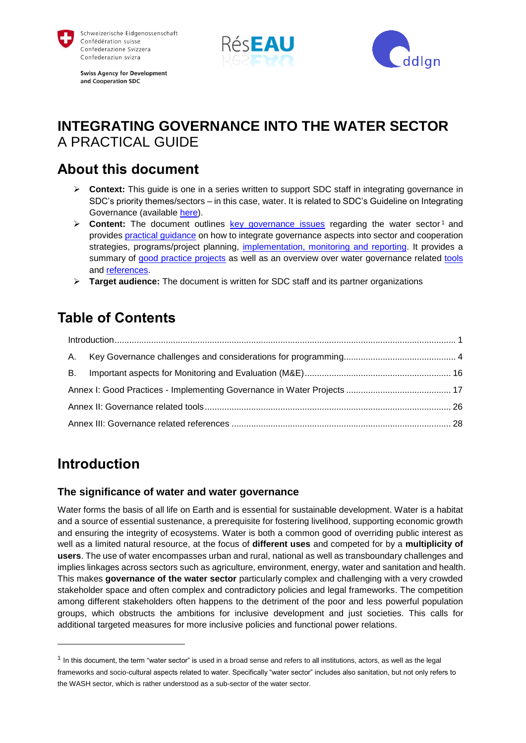

**Swiss Agency for Development** and Cooperation SDC





# **INTEGRATING GOVERNANCE INTO THE WATER SECTOR**  A PRACTICAL GUIDE

# **About this document**

- **Eontext:** This guide is one in a series written to support SDC staff in integrating governance in SDC's priority themes/sectors – in this case, water. It is related to SDC's Guideline on Integrating Governance (available [here\)](https://www.shareweb.ch/site/DDLGN/topics/governance/SitePages/Home.aspx).
- $\triangleright$  **Content:** The document outlines [key governance issues](#page-0-0) regarding the water sector<sup>1</sup> and provides [practical guidance](#page-3-0) on how to integrate governance aspects into sector and cooperation strategies, programs/project planning, [implementation, monitoring and reporting.](#page-15-0) It provides a summary of [good practice projects](#page-16-0) as well as an overview over water governance related [tools](#page-25-0) and [references.](#page-27-0)
- **Target audience:** The document is written for SDC staff and its partner organizations

# **Table of Contents**

# <span id="page-0-0"></span>**Introduction**

l

## **The significance of water and water governance**

Water forms the basis of all life on Earth and is essential for sustainable development. Water is a habitat and a source of essential sustenance, a prerequisite for fostering livelihood, supporting economic growth and ensuring the integrity of ecosystems. Water is both a common good of overriding public interest as well as a limited natural resource, at the focus of **different uses** and competed for by a **multiplicity of users**. The use of water encompasses urban and rural, national as well as transboundary challenges and implies linkages across sectors such as agriculture, environment, energy, water and sanitation and health. This makes **governance of the water sector** particularly complex and challenging with a very crowded stakeholder space and often complex and contradictory policies and legal frameworks. The competition among different stakeholders often happens to the detriment of the poor and less powerful population groups, which obstructs the ambitions for inclusive development and just societies. This calls for additional targeted measures for more inclusive policies and functional power relations.

<sup>&</sup>lt;sup>1</sup> In this document, the term "water sector" is used in a broad sense and refers to all institutions, actors, as well as the legal frameworks and socio-cultural aspects related to water. Specifically "water sector" includes also sanitation, but not only refers to the WASH sector, which is rather understood as a sub-sector of the water sector.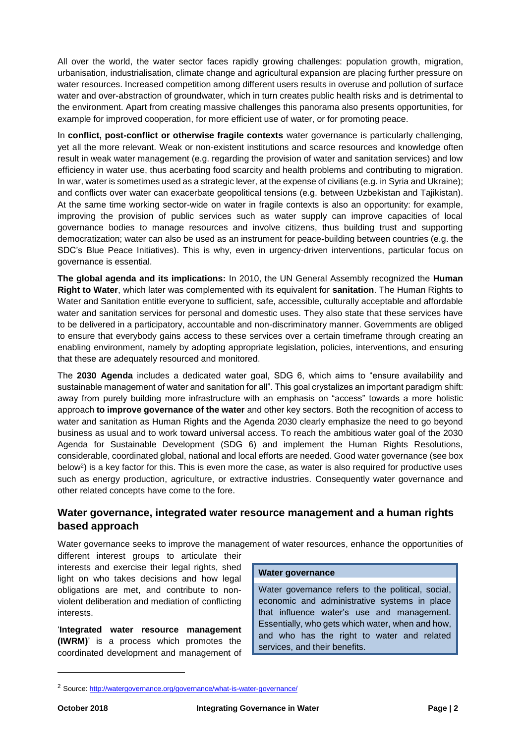All over the world, the water sector faces rapidly growing challenges: population growth, migration, urbanisation, industrialisation, climate change and agricultural expansion are placing further pressure on water resources. Increased competition among different users results in overuse and pollution of surface water and over-abstraction of groundwater, which in turn creates public health risks and is detrimental to the environment. Apart from creating massive challenges this panorama also presents opportunities, for example for improved cooperation, for more efficient use of water, or for promoting peace.

In **conflict, post-conflict or otherwise fragile contexts** water governance is particularly challenging, yet all the more relevant. Weak or non-existent institutions and scarce resources and knowledge often result in weak water management (e.g. regarding the provision of water and sanitation services) and low efficiency in water use, thus acerbating food scarcity and health problems and contributing to migration. In war, water is sometimes used as a strategic lever, at the expense of civilians (e.g. in Syria and Ukraine); and conflicts over water can exacerbate geopolitical tensions (e.g. between Uzbekistan and Tajikistan). At the same time working sector-wide on water in fragile contexts is also an opportunity: for example, improving the provision of public services such as water supply can improve capacities of local governance bodies to manage resources and involve citizens, thus building trust and supporting democratization; water can also be used as an instrument for peace-building between countries (e.g. the SDC's Blue Peace Initiatives). This is why, even in urgency-driven interventions, particular focus on governance is essential.

**The global agenda and its implications:** In 2010, the UN General Assembly recognized the **Human Right to Water**, which later was complemented with its equivalent for **sanitation**. The Human Rights to Water and Sanitation entitle everyone to sufficient, safe, accessible, culturally acceptable and affordable water and sanitation services for personal and domestic uses. They also state that these services have to be delivered in a participatory, accountable and non-discriminatory manner. Governments are obliged to ensure that everybody gains access to these services over a certain timeframe through creating an enabling environment, namely by adopting appropriate legislation, policies, interventions, and ensuring that these are adequately resourced and monitored.

The **2030 Agenda** includes a dedicated water goal, SDG 6, which aims to "ensure availability and sustainable management of water and sanitation for all". This goal crystalizes an important paradigm shift: away from purely building more infrastructure with an emphasis on "access" towards a more holistic approach **to improve governance of the water** and other key sectors. Both the recognition of access to water and sanitation as Human Rights and the Agenda 2030 clearly emphasize the need to go beyond business as usual and to work toward universal access. To reach the ambitious water goal of the 2030 Agenda for Sustainable Development (SDG 6) and implement the Human Rights Resolutions, considerable, coordinated global, national and local efforts are needed. Good water governance (see box below<sup>2</sup> ) is a key factor for this. This is even more the case, as water is also required for productive uses such as energy production, agriculture, or extractive industries. Consequently water governance and other related concepts have come to the fore.

## **Water governance, integrated water resource management and a human rights based approach**

Water governance seeks to improve the management of water resources, enhance the opportunities of different interest groups to articulate their

interests and exercise their legal rights, shed light on who takes decisions and how legal obligations are met, and contribute to nonviolent deliberation and mediation of conflicting interests.

'**Integrated water resource management (IWRM)**' is a process which promotes the coordinated development and management of

#### **Water governance**

Water governance refers to the political, social, economic and administrative systems in place that influence water's use and management. Essentially, who gets which water, when and how, and who has the right to water and related services, and their benefits.

<sup>&</sup>lt;sup>2</sup> Source[: http://watergovernance.org/governance/what-is-water-governance/](http://watergovernance.org/governance/what-is-water-governance/)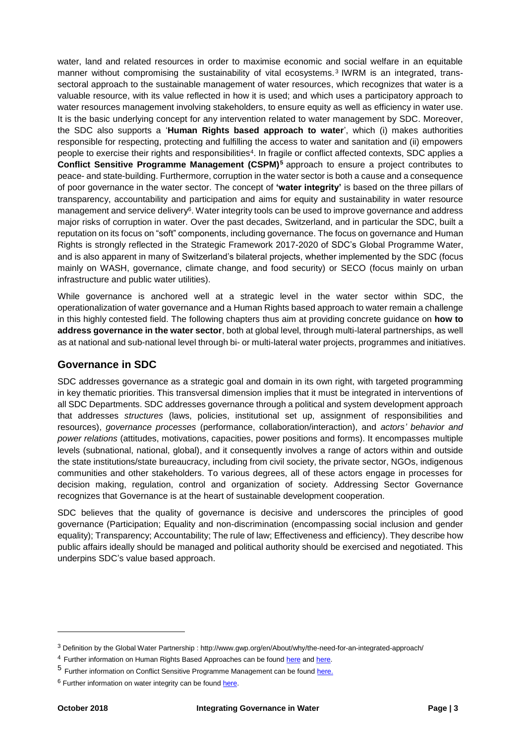water, land and related resources in order to maximise economic and social welfare in an equitable manner without compromising the sustainability of vital ecosystems.<sup>3</sup> IWRM is an integrated, transsectoral approach to the sustainable management of water resources, which recognizes that water is a valuable resource, with its value reflected in how it is used; and which uses a participatory approach to water resources management involving stakeholders, to ensure equity as well as efficiency in water use. It is the basic underlying concept for any intervention related to water management by SDC. Moreover, the SDC also supports a '**Human Rights based approach to water**', which (i) makes authorities responsible for respecting, protecting and fulfilling the access to water and sanitation and (ii) empowers people to exercise their rights and responsibilities<sup>4</sup>. In fragile or conflict affected contexts, SDC applies a **Conflict Sensitive Programme Management (CSPM)<sup>5</sup>** approach to ensure a project contributes to peace- and state-building. Furthermore, corruption in the water sector is both a cause and a consequence of poor governance in the water sector. The concept of **'water integrity'** is based on the three pillars of transparency, accountability and participation and aims for equity and sustainability in water resource management and service delivery<sup>6</sup>. Water integrity tools can be used to improve governance and address major risks of corruption in water. Over the past decades, Switzerland, and in particular the SDC, built a reputation on its focus on "soft" components, including governance. The focus on governance and Human Rights is strongly reflected in the Strategic Framework 2017-2020 of SDC's Global Programme Water, and is also apparent in many of Switzerland's bilateral projects, whether implemented by the SDC (focus mainly on WASH, governance, climate change, and food security) or SECO (focus mainly on urban infrastructure and public water utilities).

While governance is anchored well at a strategic level in the water sector within SDC, the operationalization of water governance and a Human Rights based approach to water remain a challenge in this highly contested field. The following chapters thus aim at providing concrete guidance on **how to address governance in the water sector**, both at global level, through multi-lateral partnerships, as well as at national and sub-national level through bi- or multi-lateral water projects, programmes and initiatives.

#### **Governance in SDC**

SDC addresses governance as a strategic goal and domain in its own right, with targeted programming in key thematic priorities. This transversal dimension implies that it must be integrated in interventions of all SDC Departments. SDC addresses governance through a political and system development approach that addresses *structures* (laws, policies, institutional set up, assignment of responsibilities and resources), *governance processes* (performance, collaboration/interaction), and *actors' behavior and power relations* (attitudes, motivations, capacities, power positions and forms). It encompasses multiple levels (subnational, national, global), and it consequently involves a range of actors within and outside the state institutions/state bureaucracy, including from civil society, the private sector, NGOs, indigenous communities and other stakeholders. To various degrees, all of these actors engage in processes for decision making, regulation, control and organization of society. Addressing Sector Governance recognizes that Governance is at the heart of sustainable development cooperation.

SDC believes that the quality of governance is decisive and underscores the principles of good governance (Participation; Equality and non-discrimination (encompassing social inclusion and gender equality); Transparency; Accountability; The rule of law; Effectiveness and efficiency). They describe how public affairs ideally should be managed and political authority should be exercised and negotiated. This underpins SDC's value based approach.

<sup>3</sup> Definition by the Global Water Partnership : http://www.gwp.org/en/About/why/the-need-for-an-integrated-approach/

<sup>&</sup>lt;sup>4</sup> Further information on Human Rights Based Approaches can be found [here](http://hrbaportal.org/faq/what-is-a-human-rights-based-approach) an[d here.](https://www.waterlex.org/waterlex-toolkit/what-is-a-human-rights-based-approach-and-how-is-it-different-from-other-development-practices/)

<sup>5</sup> Further information on Conflict Sensitive Programme Management can be found [here.](https://www.eda.admin.ch/dam/deza/en/documents/themen/fragile-kontexte/159292-cspm_EN.pdf)

<sup>&</sup>lt;sup>6</sup> Further information on water integrity can be foun[d here.](http://www.waterintegritynetwork.net/water-integrity/introduction/)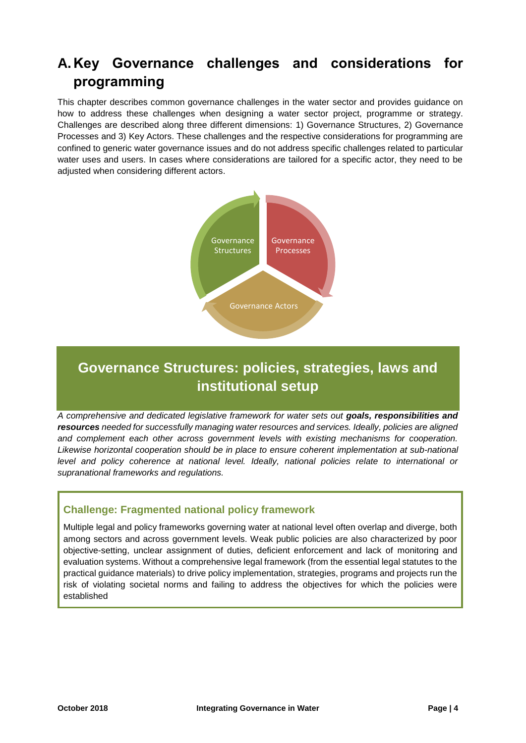# <span id="page-3-0"></span>**A.Key Governance challenges and considerations for programming**

This chapter describes common governance challenges in the water sector and provides guidance on how to address these challenges when designing a water sector project, programme or strategy. Challenges are described along three different dimensions: 1) Governance Structures, 2) Governance Processes and 3) Key Actors. These challenges and the respective considerations for programming are confined to generic water governance issues and do not address specific challenges related to particular water uses and users. In cases where considerations are tailored for a specific actor, they need to be adjusted when considering different actors.



# **Governance Structures: policies, strategies, laws and institutional setup**

*A comprehensive and dedicated legislative framework for water sets out goals, responsibilities and resources needed for successfully managing water resources and services. Ideally, policies are aligned and complement each other across government levels with existing mechanisms for cooperation. Likewise horizontal cooperation should be in place to ensure coherent implementation at sub-national*  level and policy coherence at national level. Ideally, national policies relate to international or *supranational frameworks and regulations.* 

# **Challenge: Fragmented national policy framework**

Multiple legal and policy frameworks governing water at national level often overlap and diverge, both among sectors and across government levels. Weak public policies are also characterized by poor objective-setting, unclear assignment of duties, deficient enforcement and lack of monitoring and evaluation systems. Without a comprehensive legal framework (from the essential legal statutes to the practical guidance materials) to drive policy implementation, strategies, programs and projects run the risk of violating societal norms and failing to address the objectives for which the policies were established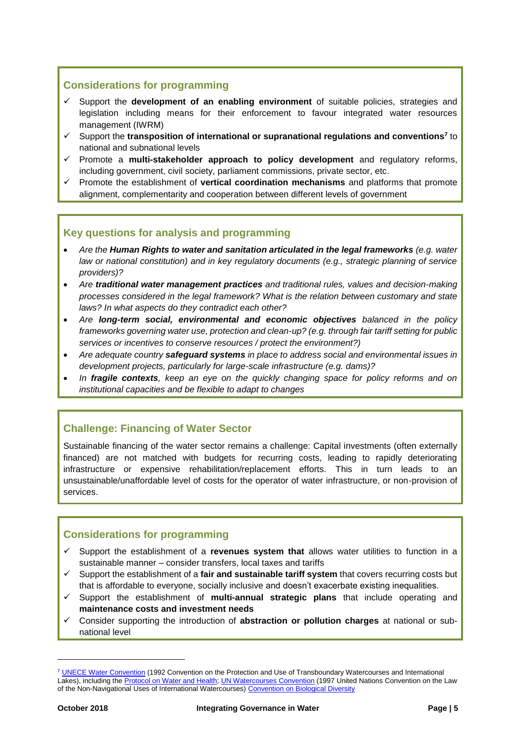# **Considerations for programming**

- $\checkmark$  Support the **development of an enabling environment** of suitable policies, strategies and legislation including means for their enforcement to favour integrated water resources management (IWRM)
- Support the **transposition of international or supranational regulations and conventions<sup>7</sup>** to national and subnational levels
- Promote a **multi-stakeholder approach to policy development** and regulatory reforms, including government, civil society, parliament commissions, private sector, etc.
- Promote the establishment of **vertical coordination mechanisms** and platforms that promote alignment, complementarity and cooperation between different levels of government

## **Key questions for analysis and programming**

- *Are the Human Rights to water and sanitation articulated in the legal frameworks (e.g. water law or national constitution) and in key regulatory documents (e.g., strategic planning of service providers)?*
- *Are traditional water management practices and traditional rules, values and decision-making processes considered in the legal framework? What is the relation between customary and state laws? In what aspects do they contradict each other?*
- *Are long-term social, environmental and economic objectives balanced in the policy frameworks governing water use, protection and clean-up? (e.g. through fair tariff setting for public services or incentives to conserve resources / protect the environment?)*
- *Are adequate country safeguard systems in place to address social and environmental issues in development projects, particularly for large-scale infrastructure (e.g. dams)?*
- *In fragile contexts, keep an eye on the quickly changing space for policy reforms and on institutional capacities and be flexible to adapt to changes*

# **Challenge: Financing of Water Sector**

Sustainable financing of the water sector remains a challenge: Capital investments (often externally financed) are not matched with budgets for recurring costs, leading to rapidly deteriorating infrastructure or expensive rehabilitation/replacement efforts. This in turn leads to an unsustainable/unaffordable level of costs for the operator of water infrastructure, or non-provision of services.

## **Considerations for programming**

- $\checkmark$  Support the establishment of a **revenues system that** allows water utilities to function in a sustainable manner – consider transfers, local taxes and tariffs
- $\checkmark$  Support the establishment of a **fair and sustainable tariff system** that covers recurring costs but that is affordable to everyone, socially inclusive and doesn't exacerbate existing inequalities.
- Support the establishment of **multi-annual strategic plans** that include operating and **maintenance costs and investment needs**
- Consider supporting the introduction of **abstraction or pollution charges** at national or subnational level

<sup>&</sup>lt;sup>7</sup> [UNECE Water Convention](https://www.unece.org/env/water.html) (1992 Convention on the Protection and Use of Transboundary Watercourses and International Lakes), including the [Protocol on Water and Health;](https://www.unece.org/env/water/pwh_text/text_protocol.html) [UN Watercourses Convention](http://www.unwatercoursesconvention.org/) (1997 United Nations Convention on the Law of the Non-Navigational Uses of International Watercourses) [Convention on Biological Diversity](https://www.cbd.int/convention/)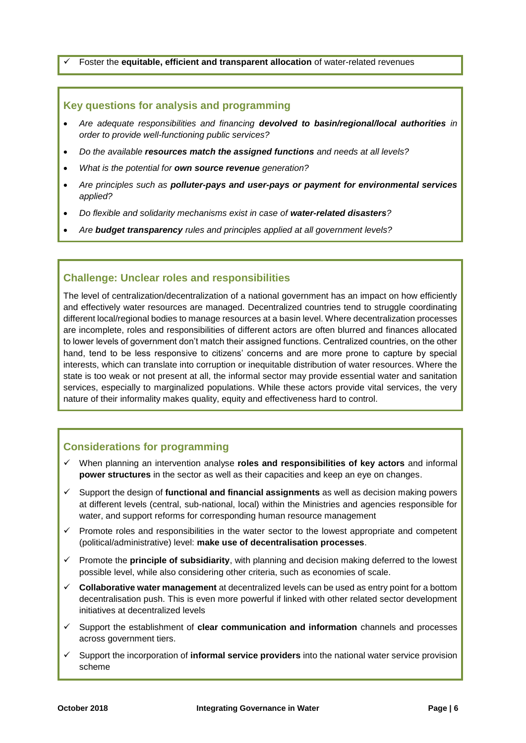Foster the **equitable, efficient and transparent allocation** of water-related revenues

#### **Key questions for analysis and programming**

- *Are adequate responsibilities and financing devolved to basin/regional/local authorities in order to provide well-functioning public services?*
- *Do the available resources match the assigned functions and needs at all levels?*
- *What is the potential for own source revenue generation?*
- *Are principles such as polluter-pays and user-pays or payment for environmental services applied?*
- *Do flexible and solidarity mechanisms exist in case of water-related disasters?*
- *Are budget transparency rules and principles applied at all government levels?*

#### **Challenge: Unclear roles and responsibilities**

The level of centralization/decentralization of a national government has an impact on how efficiently and effectively water resources are managed. Decentralized countries tend to struggle coordinating different local/regional bodies to manage resources at a basin level. Where decentralization processes are incomplete, roles and responsibilities of different actors are often blurred and finances allocated to lower levels of government don't match their assigned functions. Centralized countries, on the other hand, tend to be less responsive to citizens' concerns and are more prone to capture by special interests, which can translate into corruption or inequitable distribution of water resources. Where the state is too weak or not present at all, the informal sector may provide essential water and sanitation services, especially to marginalized populations. While these actors provide vital services, the very nature of their informality makes quality, equity and effectiveness hard to control.

#### **Considerations for programming**

- When planning an intervention analyse **roles and responsibilities of key actors** and informal **power structures** in the sector as well as their capacities and keep an eye on changes.
- $\checkmark$  Support the design of **functional and financial assignments** as well as decision making powers at different levels (central, sub-national, local) within the Ministries and agencies responsible for water, and support reforms for corresponding human resource management
- $\checkmark$  Promote roles and responsibilities in the water sector to the lowest appropriate and competent (political/administrative) level: **make use of decentralisation processes**.
- Promote the **principle of subsidiarity**, with planning and decision making deferred to the lowest possible level, while also considering other criteria, such as economies of scale.
- **Collaborative water management** at decentralized levels can be used as entry point for a bottom decentralisation push. This is even more powerful if linked with other related sector development initiatives at decentralized levels
- Support the establishment of **clear communication and information** channels and processes across government tiers.
- Support the incorporation of **informal service providers** into the national water service provision scheme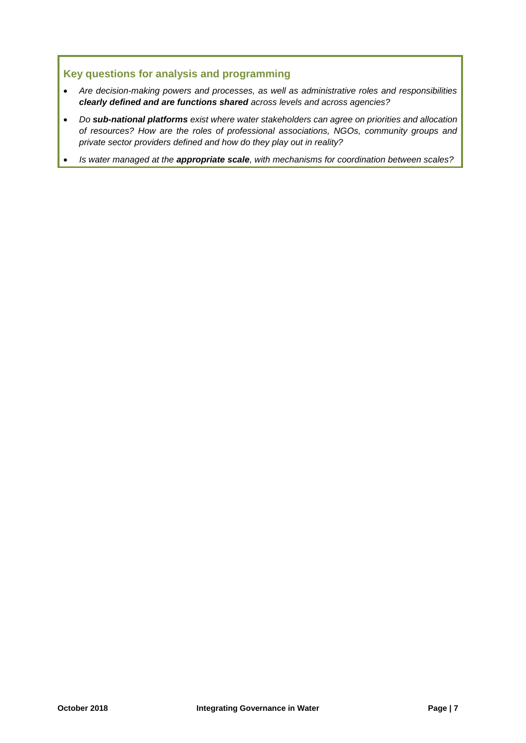## **Key questions for analysis and programming**

- *Are decision-making powers and processes, as well as administrative roles and responsibilities clearly defined and are functions shared across levels and across agencies?*
- *Do sub-national platforms exist where water stakeholders can agree on priorities and allocation of resources? How are the roles of professional associations, NGOs, community groups and private sector providers defined and how do they play out in reality?*
- *Is water managed at the appropriate scale, with mechanisms for coordination between scales?*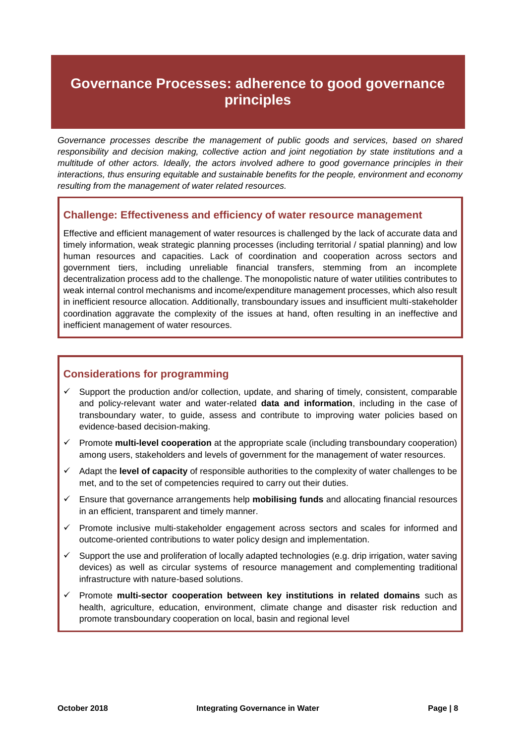# **Governance Processes: adherence to good governance principles**

*Governance processes describe the management of public goods and services, based on shared responsibility and decision making, collective action and joint negotiation by state institutions and a multitude of other actors. Ideally, the actors involved adhere to good governance principles in their interactions, thus ensuring equitable and sustainable benefits for the people, environment and economy resulting from the management of water related resources.* 

#### **Challenge: Effectiveness and efficiency of water resource management**

Effective and efficient management of water resources is challenged by the lack of accurate data and timely information, weak strategic planning processes (including territorial / spatial planning) and low human resources and capacities. Lack of coordination and cooperation across sectors and government tiers, including unreliable financial transfers, stemming from an incomplete decentralization process add to the challenge. The monopolistic nature of water utilities contributes to weak internal control mechanisms and income/expenditure management processes, which also result in inefficient resource allocation. Additionally, transboundary issues and insufficient multi-stakeholder coordination aggravate the complexity of the issues at hand, often resulting in an ineffective and inefficient management of water resources.

## **Considerations for programming**

- $\checkmark$  Support the production and/or collection, update, and sharing of timely, consistent, comparable and policy-relevant water and water-related **data and information**, including in the case of transboundary water, to guide, assess and contribute to improving water policies based on evidence-based decision-making.
- Promote **multi-level cooperation** at the appropriate scale (including transboundary cooperation) among users, stakeholders and levels of government for the management of water resources.
- $\checkmark$  Adapt the **level of capacity** of responsible authorities to the complexity of water challenges to be met, and to the set of competencies required to carry out their duties.
- Ensure that governance arrangements help **mobilising funds** and allocating financial resources in an efficient, transparent and timely manner.
- $\checkmark$  Promote inclusive multi-stakeholder engagement across sectors and scales for informed and outcome-oriented contributions to water policy design and implementation.
- $\checkmark$  Support the use and proliferation of locally adapted technologies (e.g. drip irrigation, water saving devices) as well as circular systems of resource management and complementing traditional infrastructure with nature-based solutions.
- Promote **multi-sector cooperation between key institutions in related domains** such as health, agriculture, education, environment, climate change and disaster risk reduction and promote transboundary cooperation on local, basin and regional level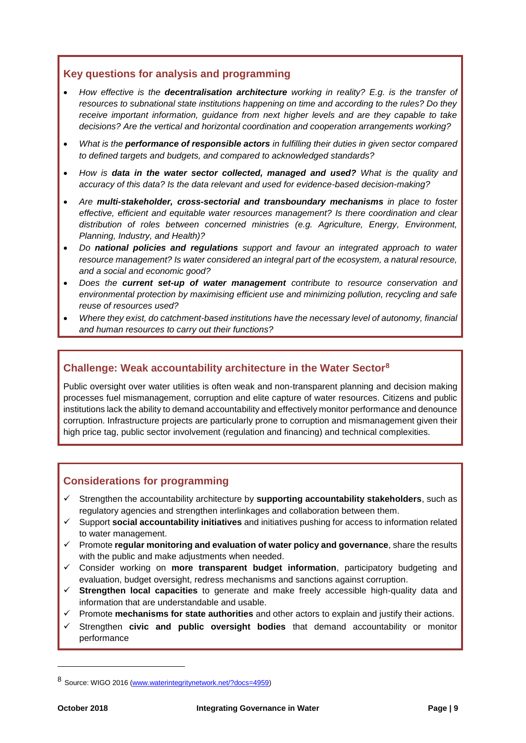### **Key questions for analysis and programming**

- *How effective is the decentralisation architecture working in reality? E.g. is the transfer of resources to subnational state institutions happening on time and according to the rules? Do they receive important information, guidance from next higher levels and are they capable to take decisions? Are the vertical and horizontal coordination and cooperation arrangements working?*
- *What is the performance of responsible actors in fulfilling their duties in given sector compared to defined targets and budgets, and compared to acknowledged standards?*
- *How is data in the water sector collected, managed and used? What is the quality and accuracy of this data? Is the data relevant and used for evidence-based decision-making?*
- *Are multi-stakeholder, cross-sectorial and transboundary mechanisms in place to foster effective, efficient and equitable water resources management? Is there coordination and clear distribution of roles between concerned ministries (e.g. Agriculture, Energy, Environment, Planning, Industry, and Health)?*
- *Do national policies and regulations support and favour an integrated approach to water resource management? Is water considered an integral part of the ecosystem, a natural resource, and a social and economic good?*
- *Does the current set-up of water management contribute to resource conservation and environmental protection by maximising efficient use and minimizing pollution, recycling and safe reuse of resources used?*
- *Where they exist, do catchment-based institutions have the necessary level of autonomy, financial and human resources to carry out their functions?*

### **Challenge: Weak accountability architecture in the Water Sector<sup>8</sup>**

Public oversight over water utilities is often weak and non-transparent planning and decision making processes fuel mismanagement, corruption and elite capture of water resources. Citizens and public institutions lack the ability to demand accountability and effectively monitor performance and denounce corruption. Infrastructure projects are particularly prone to corruption and mismanagement given their high price tag, public sector involvement (regulation and financing) and technical complexities.

## **Considerations for programming**

- $\checkmark$  Strengthen the accountability architecture by **supporting accountability stakeholders**, such as regulatory agencies and strengthen interlinkages and collaboration between them.
- Support **social accountability initiatives** and initiatives pushing for access to information related to water management.
- Promote **regular monitoring and evaluation of water policy and governance**, share the results with the public and make adjustments when needed.
- Consider working on **more transparent budget information**, participatory budgeting and evaluation, budget oversight, redress mechanisms and sanctions against corruption.
- **Strengthen local capacities** to generate and make freely accessible high-quality data and information that are understandable and usable.
- Promote **mechanisms for state authorities** and other actors to explain and justify their actions.
- Strengthen **civic and public oversight bodies** that demand accountability or monitor performance

<sup>8</sup> Source: WIGO 2016 [\(www.waterintegritynetwork.net/?docs=4959\)](http://www.waterintegritynetwork.net/?docs=4959)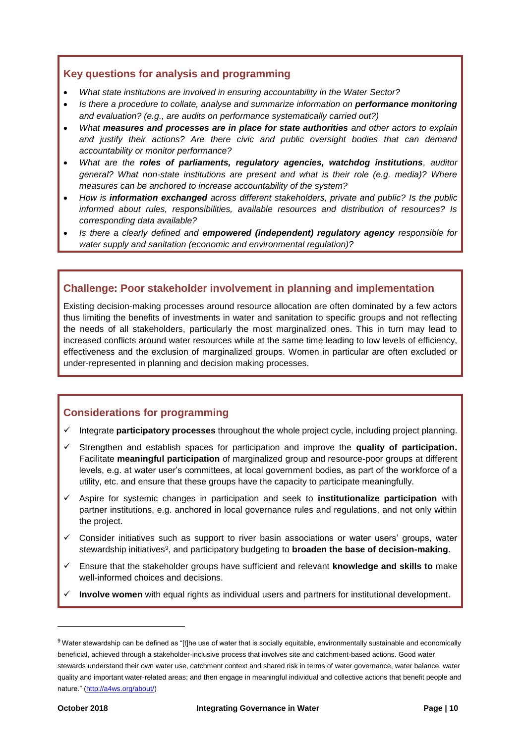### **Key questions for analysis and programming**

- *What state institutions are involved in ensuring accountability in the Water Sector?*
- *Is there a procedure to collate, analyse and summarize information on performance monitoring and evaluation? (e.g., are audits on performance systematically carried out?)*
- *What measures and processes are in place for state authorities and other actors to explain and justify their actions? Are there civic and public oversight bodies that can demand accountability or monitor performance?*
- *What are the roles of parliaments, regulatory agencies, watchdog institutions, auditor general? What non-state institutions are present and what is their role (e.g. media)? Where measures can be anchored to increase accountability of the system?*
- *How is information exchanged across different stakeholders, private and public? Is the public informed about rules, responsibilities, available resources and distribution of resources? Is corresponding data available?*
- *Is there a clearly defined and empowered (independent) regulatory agency responsible for water supply and sanitation (economic and environmental regulation)?*

## **Challenge: Poor stakeholder involvement in planning and implementation**

Existing decision-making processes around resource allocation are often dominated by a few actors thus limiting the benefits of investments in water and sanitation to specific groups and not reflecting the needs of all stakeholders, particularly the most marginalized ones. This in turn may lead to increased conflicts around water resources while at the same time leading to low levels of efficiency, effectiveness and the exclusion of marginalized groups. Women in particular are often excluded or under-represented in planning and decision making processes.

# **Considerations for programming**

- $\checkmark$  Integrate **participatory processes** throughout the whole project cycle, including project planning.
- Strengthen and establish spaces for participation and improve the **quality of participation.** Facilitate **meaningful participation** of marginalized group and resource-poor groups at different levels, e.g. at water user's committees, at local government bodies, as part of the workforce of a utility, etc. and ensure that these groups have the capacity to participate meaningfully.
- Aspire for systemic changes in participation and seek to **institutionalize participation** with partner institutions, e.g. anchored in local governance rules and regulations, and not only within the project.
- $\checkmark$  Consider initiatives such as support to river basin associations or water users' groups, water stewardship initiatives<sup>9</sup>, and participatory budgeting to **broaden the base of decision-making**.
- Ensure that the stakeholder groups have sufficient and relevant **knowledge and skills to** make well-informed choices and decisions.
- **Involve women** with equal rights as individual users and partners for institutional development.

l

 $9$  Water stewardship can be defined as "[t]he use of water that is socially equitable, environmentally sustainable and economically beneficial, achieved through a stakeholder-inclusive process that involves site and catchment-based actions. Good water stewards understand their own water use, catchment context and shared risk in terms of water governance, water balance, water quality and important water-related areas; and then engage in meaningful individual and collective actions that benefit people and nature." [\(http://a4ws.org/about/\)](http://a4ws.org/about/)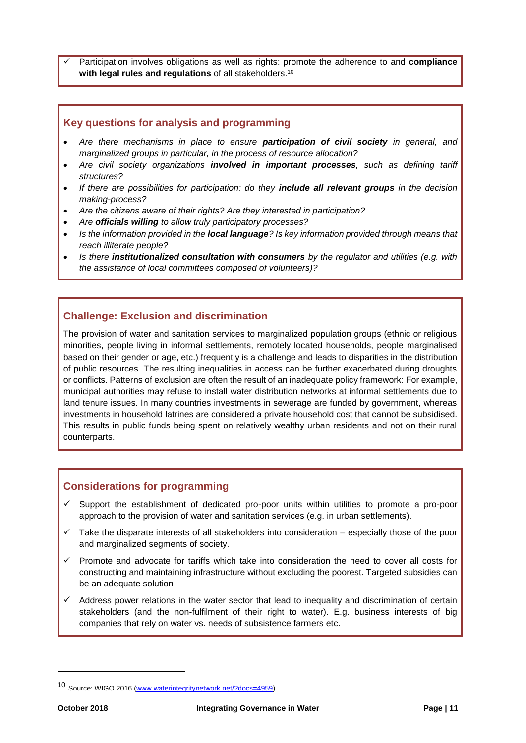Participation involves obligations as well as rights: promote the adherence to and **compliance with legal rules and regulations** of all stakeholders. 10

#### **Key questions for analysis and programming**

- *Are there mechanisms in place to ensure participation of civil society in general, and marginalized groups in particular, in the process of resource allocation?*
- *Are civil society organizations involved in important processes, such as defining tariff structures?*
- *If there are possibilities for participation: do they include all relevant groups in the decision making-process?*
- *Are the citizens aware of their rights? Are they interested in participation?*
- *Are officials willing to allow truly participatory processes?*
- *Is the information provided in the local language? Is key information provided through means that reach illiterate people?*
- *Is there institutionalized consultation with consumers by the regulator and utilities (e.g. with the assistance of local committees composed of volunteers)?*

### **Challenge: Exclusion and discrimination**

The provision of water and sanitation services to marginalized population groups (ethnic or religious minorities, people living in informal settlements, remotely located households, people marginalised based on their gender or age, etc.) frequently is a challenge and leads to disparities in the distribution of public resources. The resulting inequalities in access can be further exacerbated during droughts or conflicts. Patterns of exclusion are often the result of an inadequate policy framework: For example, municipal authorities may refuse to install water distribution networks at informal settlements due to land tenure issues. In many countries investments in sewerage are funded by government, whereas investments in household latrines are considered a private household cost that cannot be subsidised. This results in public funds being spent on relatively wealthy urban residents and not on their rural counterparts.

#### **Considerations for programming**

- $\checkmark$  Support the establishment of dedicated pro-poor units within utilities to promote a pro-poor approach to the provision of water and sanitation services (e.g. in urban settlements).
- Take the disparate interests of all stakeholders into consideration especially those of the poor and marginalized segments of society.
- $\checkmark$  Promote and advocate for tariffs which take into consideration the need to cover all costs for constructing and maintaining infrastructure without excluding the poorest. Targeted subsidies can be an adequate solution
- $\checkmark$  Address power relations in the water sector that lead to inequality and discrimination of certain stakeholders (and the non-fulfilment of their right to water). E.g. business interests of big companies that rely on water vs. needs of subsistence farmers etc.

<sup>10</sup> Source: WIGO 2016 [\(www.waterintegritynetwork.net/?docs=4959\)](http://www.waterintegritynetwork.net/?docs=4959)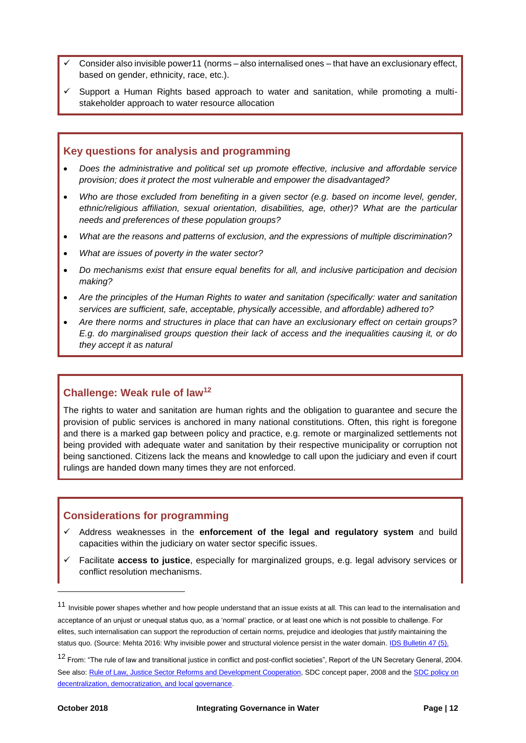- Consider also invisible power11 (norms also internalised ones that have an exclusionary effect, based on gender, ethnicity, race, etc.).
- $\checkmark$  Support a Human Rights based approach to water and sanitation, while promoting a multistakeholder approach to water resource allocation

#### **Key questions for analysis and programming**

- *Does the administrative and political set up promote effective, inclusive and affordable service provision; does it protect the most vulnerable and empower the disadvantaged?*
- *Who are those excluded from benefiting in a given sector (e.g. based on income level, gender, ethnic/religious affiliation, sexual orientation, disabilities, age, other)? What are the particular needs and preferences of these population groups?*
- *What are the reasons and patterns of exclusion, and the expressions of multiple discrimination?*
- *What are issues of poverty in the water sector?*
- *Do mechanisms exist that ensure equal benefits for all, and inclusive participation and decision making?*
- *Are the principles of the Human Rights to water and sanitation (specifically: water and sanitation services are sufficient, safe, acceptable, physically accessible, and affordable) adhered to?*
- *Are there norms and structures in place that can have an exclusionary effect on certain groups? E.g. do marginalised groups question their lack of access and the inequalities causing it, or do they accept it as natural*

#### **Challenge: Weak rule of law<sup>12</sup>**

The rights to water and sanitation are human rights and the obligation to guarantee and secure the provision of public services is anchored in many national constitutions. Often, this right is foregone and there is a marked gap between policy and practice, e.g. remote or marginalized settlements not being provided with adequate water and sanitation by their respective municipality or corruption not being sanctioned. Citizens lack the means and knowledge to call upon the judiciary and even if court rulings are handed down many times they are not enforced.

### **Considerations for programming**

- Address weaknesses in the **enforcement of the legal and regulatory system** and build capacities within the judiciary on water sector specific issues.
- Facilitate **access to justice**, especially for marginalized groups, e.g. legal advisory services or conflict resolution mechanisms.

l

<sup>11</sup> Invisible power shapes whether and how people understand that an issue exists at all. This can lead to the internalisation and acceptance of an unjust or unequal status quo, as a 'normal' practice, or at least one which is not possible to challenge. For elites, such internalisation can support the reproduction of certain norms, prejudice and ideologies that justify maintaining the status quo. (Source: Mehta 2016: Why invisible power and structural violence persist in the water domain. [IDS Bulletin 47 \(5\).](http://bulletin.ids.ac.uk/idsbo/article/view/2802/COMPLETE%20ISSUE%20PDF)

<sup>&</sup>lt;sup>12</sup> From: "The rule of law and transitional justice in conflict and post-conflict societies", Report of the UN Secretary General, 2004. See also: [Rule of Law, Justice Sector Reforms and Development Cooperation,](https://www.eda.admin.ch/dam/deza/en/documents/publikationen/Diverses/170419-etatdedroit_EN.pdf) SDC concept paper, 2008 and th[e SDC policy on](https://www.shareweb.ch/site/DDLGN/Documents/Policy%20Paper%20DDLG%20en%20ligne.pdf)  [decentralization, democratization, and local governance.](https://www.shareweb.ch/site/DDLGN/Documents/Policy%20Paper%20DDLG%20en%20ligne.pdf)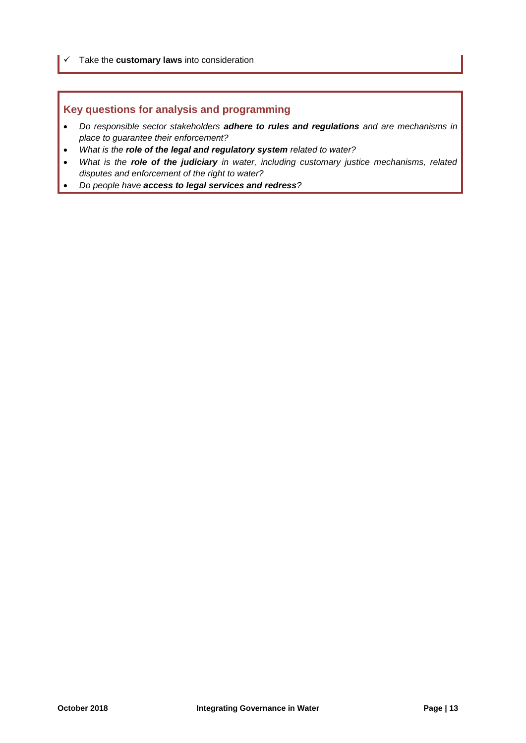Take the **customary laws** into consideration

### **Key questions for analysis and programming**

- *Do responsible sector stakeholders adhere to rules and regulations and are mechanisms in place to guarantee their enforcement?*
- *What is the role of the legal and regulatory system related to water?*
- *What is the role of the judiciary in water, including customary justice mechanisms, related disputes and enforcement of the right to water?*
- *Do people have access to legal services and redress?*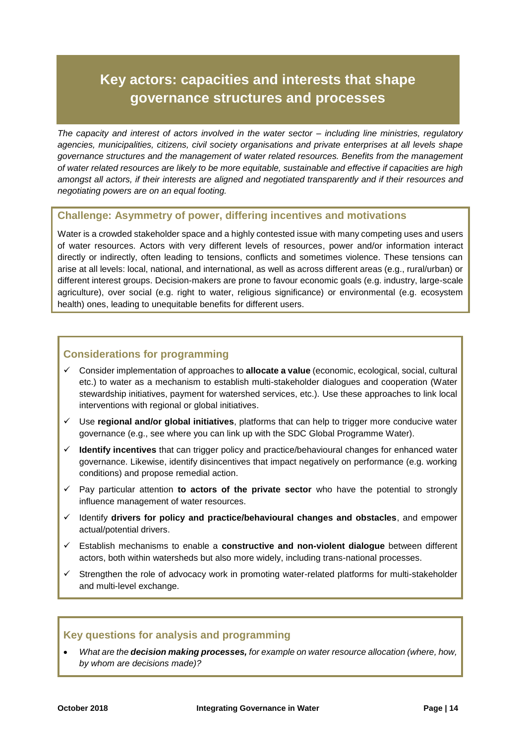# **Key actors: capacities and interests that shape governance structures and processes**

*The capacity and interest of actors involved in the water sector – including line ministries, regulatory agencies, municipalities, citizens, civil society organisations and private enterprises at all levels shape governance structures and the management of water related resources. Benefits from the management of water related resources are likely to be more equitable, sustainable and effective if capacities are high amongst all actors, if their interests are aligned and negotiated transparently and if their resources and negotiating powers are on an equal footing.* 

#### **Challenge: Asymmetry of power, differing incentives and motivations**

Water is a crowded stakeholder space and a highly contested issue with many competing uses and users of water resources. Actors with very different levels of resources, power and/or information interact directly or indirectly, often leading to tensions, conflicts and sometimes violence. These tensions can arise at all levels: local, national, and international, as well as across different areas (e.g., rural/urban) or different interest groups. Decision-makers are prone to favour economic goals (e.g. industry, large-scale agriculture), over social (e.g. right to water, religious significance) or environmental (e.g. ecosystem health) ones, leading to unequitable benefits for different users.

### **Considerations for programming**

- Consider implementation of approaches to **allocate a value** (economic, ecological, social, cultural etc.) to water as a mechanism to establish multi-stakeholder dialogues and cooperation (Water stewardship initiatives, payment for watershed services, etc.). Use these approaches to link local interventions with regional or global initiatives.
- Use **regional and/or global initiatives**, platforms that can help to trigger more conducive water governance (e.g., see where you can link up with the SDC Global Programme Water).
- **Identify incentives** that can trigger policy and practice/behavioural changes for enhanced water governance. Likewise, identify disincentives that impact negatively on performance (e.g. working conditions) and propose remedial action.
- $\checkmark$  Pay particular attention **to actors of the private sector** who have the potential to strongly influence management of water resources.
- Identify **drivers for policy and practice/behavioural changes and obstacles**, and empower actual/potential drivers.
- Establish mechanisms to enable a **constructive and non-violent dialogue** between different actors, both within watersheds but also more widely, including trans-national processes.
- $\checkmark$  Strengthen the role of advocacy work in promoting water-related platforms for multi-stakeholder and multi-level exchange.

#### **Key questions for analysis and programming**

 *What are the decision making processes, for example on water resource allocation (where, how, by whom are decisions made)?*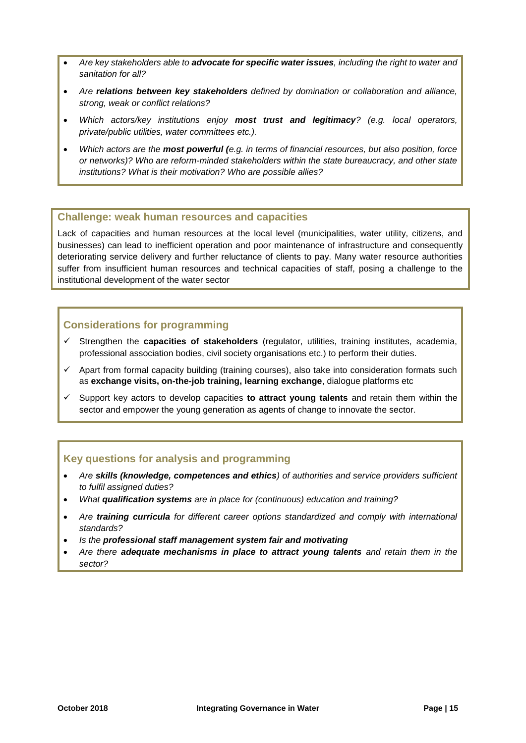- *Are key stakeholders able to advocate for specific water issues, including the right to water and sanitation for all?*
- *Are relations between key stakeholders defined by domination or collaboration and alliance, strong, weak or conflict relations?*
- *Which actors/key institutions enjoy most trust and legitimacy? (e.g. local operators, private/public utilities, water committees etc.).*
- *Which actors are the most powerful (e.g. in terms of financial resources, but also position, force or networks)? Who are reform-minded stakeholders within the state bureaucracy, and other state institutions? What is their motivation? Who are possible allies?*

#### **Challenge: weak human resources and capacities**

Lack of capacities and human resources at the local level (municipalities, water utility, citizens, and businesses) can lead to inefficient operation and poor maintenance of infrastructure and consequently deteriorating service delivery and further reluctance of clients to pay. Many water resource authorities suffer from insufficient human resources and technical capacities of staff, posing a challenge to the institutional development of the water sector

### **Considerations for programming**

- Strengthen the **capacities of stakeholders** (regulator, utilities, training institutes, academia, professional association bodies, civil society organisations etc.) to perform their duties.
- $\checkmark$  Apart from formal capacity building (training courses), also take into consideration formats such as **exchange visits, on-the-job training, learning exchange**, dialogue platforms etc
- Support key actors to develop capacities **to attract young talents** and retain them within the sector and empower the young generation as agents of change to innovate the sector.

#### **Key questions for analysis and programming**

- *Are skills (knowledge, competences and ethics) of authorities and service providers sufficient to fulfil assigned duties?*
- *What qualification systems are in place for (continuous) education and training?*
- *Are training curricula for different career options standardized and comply with international standards?*
- *Is the professional staff management system fair and motivating*
- *Are there adequate mechanisms in place to attract young talents and retain them in the sector?*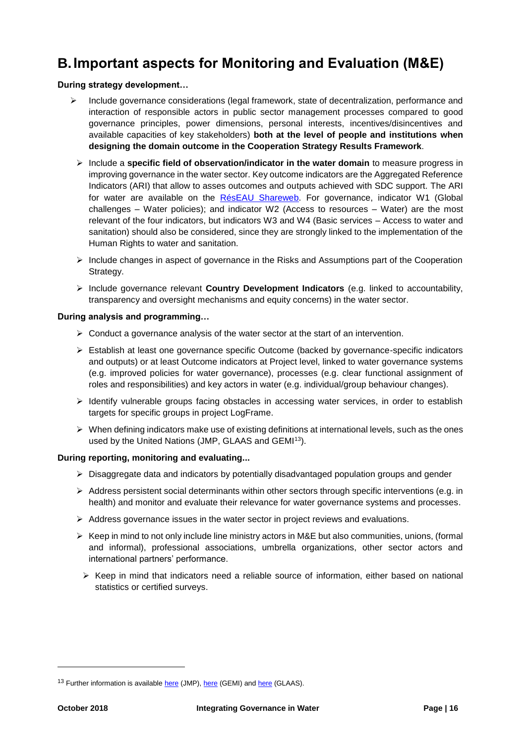# <span id="page-15-0"></span>**B.Important aspects for Monitoring and Evaluation (M&E)**

#### **During strategy development…**

- $\triangleright$  Include governance considerations (legal framework, state of decentralization, performance and interaction of responsible actors in public sector management processes compared to good governance principles, power dimensions, personal interests, incentives/disincentives and available capacities of key stakeholders) **both at the level of people and institutions when designing the domain outcome in the Cooperation Strategy Results Framework**.
	- $\triangleright$  Include a **specific field of observation/indicator in the water domain** to measure progress in improving governance in the water sector. Key outcome indicators are the Aggregated Reference Indicators (ARI) that allow to asses outcomes and outputs achieved with SDC support. The ARI for water are available on the [RésEAU Shareweb.](https://www.shareweb.ch/site/Water/reseau-resources/reference-indicators) For governance, indicator W1 (Global challenges – Water policies); and indicator W2 (Access to resources – Water) are the most relevant of the four indicators, but indicators W3 and W4 (Basic services – Access to water and sanitation) should also be considered, since they are strongly linked to the implementation of the Human Rights to water and sanitation.
	- $\triangleright$  Include changes in aspect of governance in the Risks and Assumptions part of the Cooperation Strategy.
	- Include governance relevant **Country Development Indicators** (e.g. linked to accountability, transparency and oversight mechanisms and equity concerns) in the water sector.

#### **During analysis and programming…**

- $\triangleright$  Conduct a governance analysis of the water sector at the start of an intervention.
- Establish at least one governance specific Outcome (backed by governance-specific indicators and outputs) or at least Outcome indicators at Project level, linked to water governance systems (e.g. improved policies for water governance), processes (e.g. clear functional assignment of roles and responsibilities) and key actors in water (e.g. individual/group behaviour changes).
- $\triangleright$  Identify vulnerable groups facing obstacles in accessing water services, in order to establish targets for specific groups in project LogFrame.
- $\triangleright$  When defining indicators make use of existing definitions at international levels, such as the ones used by the United Nations (JMP, GLAAS and GEMI<sup>13</sup>).

#### **During reporting, monitoring and evaluating...**

- $\triangleright$  Disaggregate data and indicators by potentially disadvantaged population groups and gender
- $\triangleright$  Address persistent social determinants within other sectors through specific interventions (e.g. in health) and monitor and evaluate their relevance for water governance systems and processes.
- $\triangleright$  Address governance issues in the water sector in project reviews and evaluations.
- $\triangleright$  Keep in mind to not only include line ministry actors in M&E but also communities, unions, (formal and informal), professional associations, umbrella organizations, other sector actors and international partners' performance.
- $\triangleright$  Keep in mind that indicators need a reliable source of information, either based on national statistics or certified surveys.

<sup>&</sup>lt;sup>13</sup> Further information is availabl[e here](https://washdata.org/) (JMP), [here](http://www.sdg6monitoring.org/about/components/presenting-gemi/) (GEMI) an[d here](http://www.who.int/water_sanitation_health/monitoring/investments/glaas/en/) (GLAAS).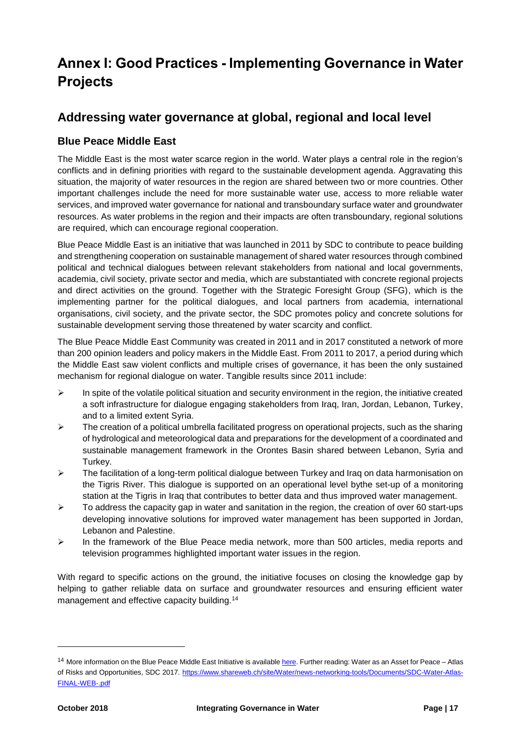# <span id="page-16-0"></span>**Annex I: Good Practices - Implementing Governance in Water Projects**

# **Addressing water governance at global, regional and local level**

# **Blue Peace Middle East**

The Middle East is the most water scarce region in the world. Water plays a central role in the region's conflicts and in defining priorities with regard to the sustainable development agenda. Aggravating this situation, the majority of water resources in the region are shared between two or more countries. Other important challenges include the need for more sustainable water use, access to more reliable water services, and improved water governance for national and transboundary surface water and groundwater resources. As water problems in the region and their impacts are often transboundary, regional solutions are required, which can encourage regional cooperation.

Blue Peace Middle East is an initiative that was launched in 2011 by SDC to contribute to peace building and strengthening cooperation on sustainable management of shared water resources through combined political and technical dialogues between relevant stakeholders from national and local governments, academia, civil society, private sector and media, which are substantiated with concrete regional projects and direct activities on the ground. Together with the Strategic Foresight Group (SFG), which is the implementing partner for the political dialogues, and local partners from academia, international organisations, civil society, and the private sector, the SDC promotes policy and concrete solutions for sustainable development serving those threatened by water scarcity and conflict.

The Blue Peace Middle East Community was created in 2011 and in 2017 constituted a network of more than 200 opinion leaders and policy makers in the Middle East. From 2011 to 2017, a period during which the Middle East saw violent conflicts and multiple crises of governance, it has been the only sustained mechanism for regional dialogue on water. Tangible results since 2011 include:

- $\triangleright$  In spite of the volatile political situation and security environment in the region, the initiative created a soft infrastructure for dialogue engaging stakeholders from Iraq, Iran, Jordan, Lebanon, Turkey, and to a limited extent Syria.
- $\triangleright$  The creation of a political umbrella facilitated progress on operational projects, such as the sharing of hydrological and meteorological data and preparations for the development of a coordinated and sustainable management framework in the Orontes Basin shared between Lebanon, Syria and Turkey.
- $\triangleright$  The facilitation of a long-term political dialogue between Turkey and Iraq on data harmonisation on the Tigris River. This dialogue is supported on an operational level bythe set-up of a monitoring station at the Tigris in Iraq that contributes to better data and thus improved water management.
- $\triangleright$  To address the capacity gap in water and sanitation in the region, the creation of over 60 start-ups developing innovative solutions for improved water management has been supported in Jordan, Lebanon and Palestine.
- $\triangleright$  In the framework of the Blue Peace media network, more than 500 articles, media reports and television programmes highlighted important water issues in the region.

With regard to specific actions on the ground, the initiative focuses on closing the knowledge gap by helping to gather reliable data on surface and groundwater resources and ensuring efficient water management and effective capacity building.<sup>14</sup>

l

<sup>&</sup>lt;sup>14</sup> More information on the Blue Peace Middle East Initiative is availabl[e here.](https://www.shareweb.ch/site/Water/reseau/Documents/Factsheet_Blue%20Peace%20Middle%20East_final_04.17.pdfhttps:/www.shareweb.ch/site/Water/reseau/Documents/Factsheet_Blue%20Peace%20Middle%20East_final_04.17.pdf) Further reading: Water as an Asset for Peace – Atlas of Risks and Opportunities, SDC 2017. [https://www.shareweb.ch/site/Water/news-networking-tools/Documents/SDC-Water-Atlas-](https://www.shareweb.ch/site/Water/news-networking-tools/Documents/SDC-Water-Atlas-FINAL-WEB-.pdf)[FINAL-WEB-.pdf](https://www.shareweb.ch/site/Water/news-networking-tools/Documents/SDC-Water-Atlas-FINAL-WEB-.pdf)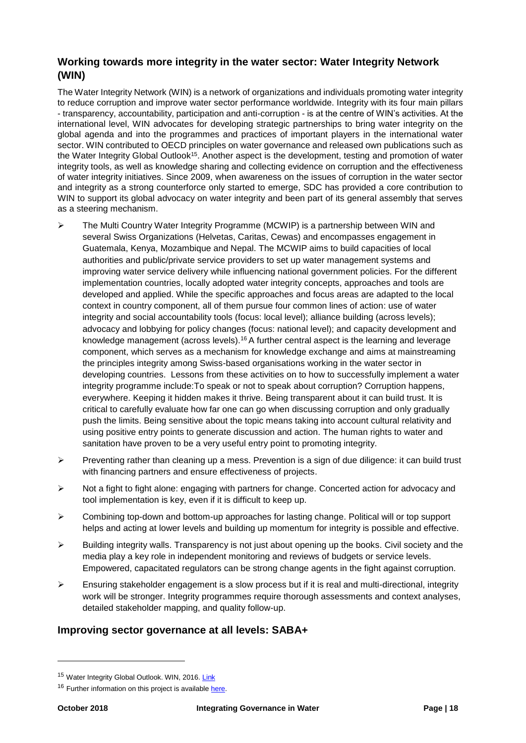# **Working towards more integrity in the water sector: Water Integrity Network (WIN)**

The Water Integrity Network (WIN) is a network of organizations and individuals promoting water integrity to reduce corruption and improve water sector performance worldwide. Integrity with its four main pillars - transparency, accountability, participation and anti-corruption - is at the centre of WIN's activities. At the international level, WIN advocates for developing strategic partnerships to bring water integrity on the global agenda and into the programmes and practices of important players in the international water sector. WIN contributed to OECD principles on water governance and released own publications such as the Water Integrity Global Outlook<sup>15</sup>. Another aspect is the development, testing and promotion of water integrity tools, as well as knowledge sharing and collecting evidence on corruption and the effectiveness of water integrity initiatives. Since 2009, when awareness on the issues of corruption in the water sector and integrity as a strong counterforce only started to emerge, SDC has provided a core contribution to WIN to support its global advocacy on water integrity and been part of its general assembly that serves as a steering mechanism.

- $\triangleright$  The Multi Country Water Integrity Programme (MCWIP) is a partnership between WIN and several Swiss Organizations (Helvetas, Caritas, Cewas) and encompasses engagement in Guatemala, Kenya, Mozambique and Nepal. The MCWIP aims to build capacities of local authorities and public/private service providers to set up water management systems and improving water service delivery while influencing national government policies. For the different implementation countries, locally adopted water integrity concepts, approaches and tools are developed and applied. While the specific approaches and focus areas are adapted to the local context in country component, all of them pursue four common lines of action: use of water integrity and social accountability tools (focus: local level); alliance building (across levels); advocacy and lobbying for policy changes (focus: national level); and capacity development and knowledge management (across levels).<sup>16</sup> A further central aspect is the learning and leverage component, which serves as a mechanism for knowledge exchange and aims at mainstreaming the principles integrity among Swiss-based organisations working in the water sector in developing countries. Lessons from these activities on to how to successfully implement a water integrity programme include:To speak or not to speak about corruption? Corruption happens, everywhere. Keeping it hidden makes it thrive. Being transparent about it can build trust. It is critical to carefully evaluate how far one can go when discussing corruption and only gradually push the limits. Being sensitive about the topic means taking into account cultural relativity and using positive entry points to generate discussion and action. The human rights to water and sanitation have proven to be a very useful entry point to promoting integrity.
- $\triangleright$  Preventing rather than cleaning up a mess. Prevention is a sign of due diligence: it can build trust with financing partners and ensure effectiveness of projects.
- $\triangleright$  Not a fight to fight alone: engaging with partners for change. Concerted action for advocacy and tool implementation is key, even if it is difficult to keep up.
- $\triangleright$  Combining top-down and bottom-up approaches for lasting change. Political will or top support helps and acting at lower levels and building up momentum for integrity is possible and effective.
- $\triangleright$  Building integrity walls. Transparency is not just about opening up the books. Civil society and the media play a key role in independent monitoring and reviews of budgets or service levels. Empowered, capacitated regulators can be strong change agents in the fight against corruption.
- Ensuring stakeholder engagement is a slow process but if it is real and multi-directional, integrity work will be stronger. Integrity programmes require thorough assessments and context analyses, detailed stakeholder mapping, and quality follow-up.

## **Improving sector governance at all levels: SABA+**

<sup>&</sup>lt;sup>15</sup> Water Integrity Global Outlook. WIN, 2016. [Link](http://www.waterintegritynetwork.net/wigo/)

<sup>&</sup>lt;sup>16</sup> Further information on this project is available [here.](https://www.erweiterungsbeitrag.admin.ch/deza/en/home/activities-projects/projekte-fokus/Project-database.filterResults.html/content/projects/SDC/en/2009/7F02855/phase3?oldPagePath=/content/deza/en/home/aktivitaeten_projekte/projekte-fokus/projektdatenbank.html)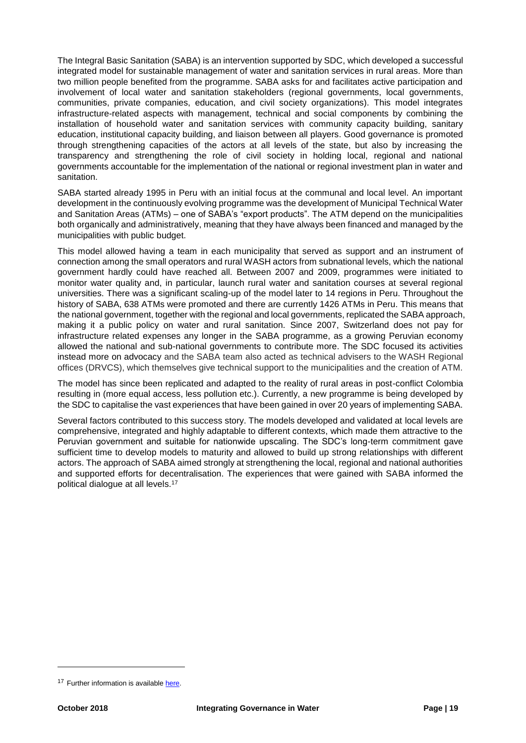The Integral Basic Sanitation (SABA) is an intervention supported by SDC, which developed a successful integrated model for sustainable management of water and sanitation services in rural areas. More than two million people benefited from the programme. SABA asks for and facilitates active participation and involvement of local water and sanitation stakeholders (regional governments, local governments, communities, private companies, education, and civil society organizations). This model integrates infrastructure-related aspects with management, technical and social components by combining the installation of household water and sanitation services with community capacity building, sanitary education, institutional capacity building, and liaison between all players. Good governance is promoted through strengthening capacities of the actors at all levels of the state, but also by increasing the transparency and strengthening the role of civil society in holding local, regional and national governments accountable for the implementation of the national or regional investment plan in water and sanitation.

SABA started already 1995 in Peru with an initial focus at the communal and local level. An important development in the continuously evolving programme was the development of Municipal Technical Water and Sanitation Areas (ATMs) – one of SABA's "export products". The ATM depend on the municipalities both organically and administratively, meaning that they have always been financed and managed by the municipalities with public budget.

This model allowed having a team in each municipality that served as support and an instrument of connection among the small operators and rural WASH actors from subnational levels, which the national government hardly could have reached all. Between 2007 and 2009, programmes were initiated to monitor water quality and, in particular, launch rural water and sanitation courses at several regional universities. There was a significant scaling-up of the model later to 14 regions in Peru. Throughout the history of SABA, 638 ATMs were promoted and there are currently 1426 ATMs in Peru. This means that the national government, together with the regional and local governments, replicated the SABA approach, making it a public policy on water and rural sanitation. Since 2007, Switzerland does not pay for infrastructure related expenses any longer in the SABA programme, as a growing Peruvian economy allowed the national and sub-national governments to contribute more. The SDC focused its activities instead more on advocacy and the SABA team also acted as technical advisers to the WASH Regional offices (DRVCS), which themselves give technical support to the municipalities and the creation of ATM.

The model has since been replicated and adapted to the reality of rural areas in post-conflict Colombia resulting in (more equal access, less pollution etc.). Currently, a new programme is being developed by the SDC to capitalise the vast experiences that have been gained in over 20 years of implementing SABA.

Several factors contributed to this success story. The models developed and validated at local levels are comprehensive, integrated and highly adaptable to different contexts, which made them attractive to the Peruvian government and suitable for nationwide upscaling. The SDC's long-term commitment gave sufficient time to develop models to maturity and allowed to build up strong relationships with different actors. The approach of SABA aimed strongly at strengthening the local, regional and national authorities and supported efforts for decentralisation. The experiences that were gained with SABA informed the political dialogue at all levels.<sup>17</sup>

<sup>&</sup>lt;sup>17</sup> Further information is available here.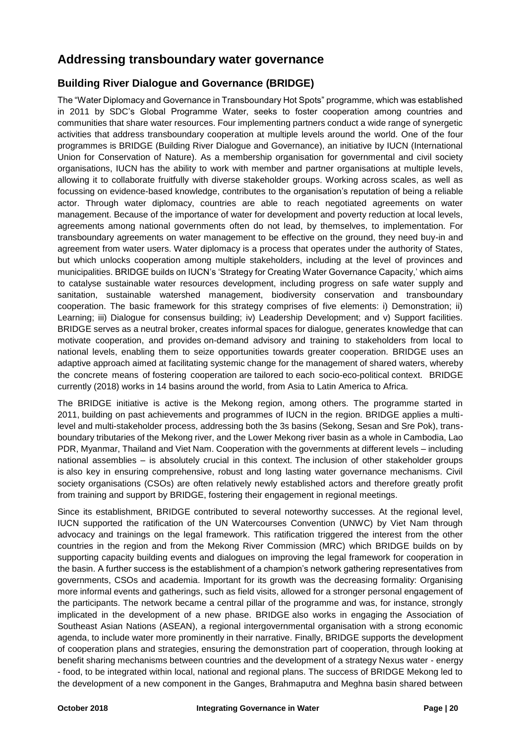# **Addressing transboundary water governance**

# **Building River Dialogue and Governance (BRIDGE)**

The "Water Diplomacy and Governance in Transboundary Hot Spots" programme, which was established in 2011 by SDC's Global Programme Water, seeks to foster cooperation among countries and communities that share water resources. Four implementing partners conduct a wide range of synergetic activities that address transboundary cooperation at multiple levels around the world. One of the four programmes is BRIDGE (Building River Dialogue and Governance), an initiative by IUCN (International Union for Conservation of Nature). As a membership organisation for governmental and civil society organisations, IUCN has the ability to work with member and partner organisations at multiple levels, allowing it to collaborate fruitfully with diverse stakeholder groups. Working across scales, as well as focussing on evidence-based knowledge, contributes to the organisation's reputation of being a reliable actor. Through water diplomacy, countries are able to reach negotiated agreements on water management. Because of the importance of water for development and poverty reduction at local levels, agreements among national governments often do not lead, by themselves, to implementation. For transboundary agreements on water management to be effective on the ground, they need buy-in and agreement from water users. Water diplomacy is a process that operates under the authority of States, but which unlocks cooperation among multiple stakeholders, including at the level of provinces and municipalities. BRIDGE builds on IUCN's 'Strategy for Creating Water Governance Capacity,' which aims to catalyse sustainable water resources development, including progress on safe water supply and sanitation, sustainable watershed management, biodiversity conservation and transboundary cooperation. The basic framework for this strategy comprises of five elements: i) Demonstration; ii) Learning; iii) Dialogue for consensus building; iv) Leadership Development; and v) Support facilities. BRIDGE serves as a neutral broker, creates informal spaces for dialogue, generates knowledge that can motivate cooperation, and provides on-demand advisory and training to stakeholders from local to national levels, enabling them to seize opportunities towards greater cooperation. BRIDGE uses an adaptive approach aimed at facilitating systemic change for the management of shared waters, whereby the concrete means of fostering cooperation are tailored to each socio-eco-political context. BRIDGE currently (2018) works in 14 basins around the world, from Asia to Latin America to Africa.

The BRIDGE initiative is active is the Mekong region, among others. The programme started in 2011, building on past achievements and programmes of IUCN in the region. BRIDGE applies a multilevel and multi-stakeholder process, addressing both the 3s basins (Sekong, Sesan and Sre Pok), transboundary tributaries of the Mekong river, and the Lower Mekong river basin as a whole in Cambodia, Lao PDR, Myanmar, Thailand and Viet Nam. Cooperation with the governments at different levels – including national assemblies – is absolutely crucial in this context. The inclusion of other stakeholder groups is also key in ensuring comprehensive, robust and long lasting water governance mechanisms. Civil society organisations (CSOs) are often relatively newly established actors and therefore greatly profit from training and support by BRIDGE, fostering their engagement in regional meetings.

Since its establishment, BRIDGE contributed to several noteworthy successes. At the regional level, IUCN supported the ratification of the UN Watercourses Convention (UNWC) by Viet Nam through advocacy and trainings on the legal framework. This ratification triggered the interest from the other countries in the region and from the Mekong River Commission (MRC) which BRIDGE builds on by supporting capacity building events and dialogues on improving the legal framework for cooperation in the basin. A further success is the establishment of a champion's network gathering representatives from governments, CSOs and academia. Important for its growth was the decreasing formality: Organising more informal events and gatherings, such as field visits, allowed for a stronger personal engagement of the participants. The network became a central pillar of the programme and was, for instance, strongly implicated in the development of a new phase. BRIDGE also works in engaging the Association of Southeast Asian Nations (ASEAN), a regional intergovernmental organisation with a strong economic agenda, to include water more prominently in their narrative. Finally, BRIDGE supports the development of cooperation plans and strategies, ensuring the demonstration part of cooperation, through looking at benefit sharing mechanisms between countries and the development of a strategy Nexus water - energy - food, to be integrated within local, national and regional plans. The success of BRIDGE Mekong led to the development of a new component in the Ganges, Brahmaputra and Meghna basin shared between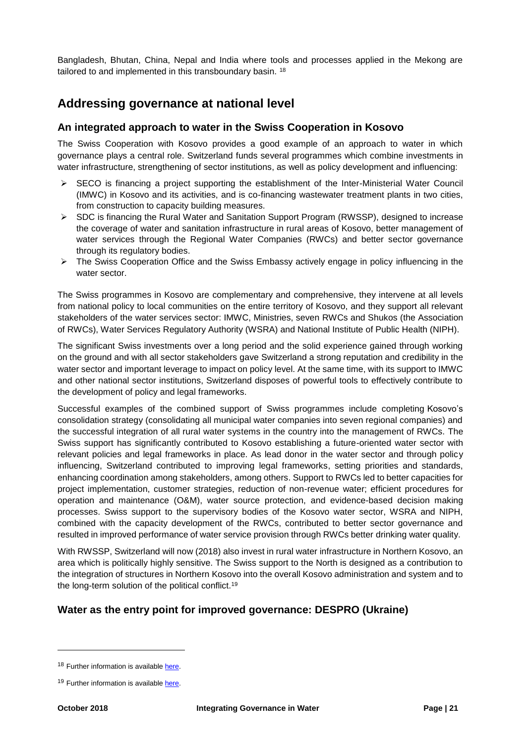Bangladesh, Bhutan, China, Nepal and India where tools and processes applied in the Mekong are tailored to and implemented in this transboundary basin. <sup>18</sup>

# **Addressing governance at national level**

## **An integrated approach to water in the Swiss Cooperation in Kosovo**

The Swiss Cooperation with Kosovo provides a good example of an approach to water in which governance plays a central role. Switzerland funds several programmes which combine investments in water infrastructure, strengthening of sector institutions, as well as policy development and influencing:

- $\triangleright$  SECO is financing a project supporting the establishment of the Inter-Ministerial Water Council (IMWC) in Kosovo and its activities, and is co-financing wastewater treatment plants in two cities, from construction to capacity building measures.
- SDC is financing the Rural Water and Sanitation Support Program (RWSSP), designed to increase the coverage of water and sanitation infrastructure in rural areas of Kosovo, better management of water services through the Regional Water Companies (RWCs) and better sector governance through its regulatory bodies.
- $\triangleright$  The Swiss Cooperation Office and the Swiss Embassy actively engage in policy influencing in the water sector.

The Swiss programmes in Kosovo are complementary and comprehensive, they intervene at all levels from national policy to local communities on the entire territory of Kosovo, and they support all relevant stakeholders of the water services sector: IMWC, Ministries, seven RWCs and Shukos (the Association of RWCs), Water Services Regulatory Authority (WSRA) and National Institute of Public Health (NIPH).

The significant Swiss investments over a long period and the solid experience gained through working on the ground and with all sector stakeholders gave Switzerland a strong reputation and credibility in the water sector and important leverage to impact on policy level. At the same time, with its support to IMWC and other national sector institutions, Switzerland disposes of powerful tools to effectively contribute to the development of policy and legal frameworks.

Successful examples of the combined support of Swiss programmes include completing Kosovo's consolidation strategy (consolidating all municipal water companies into seven regional companies) and the successful integration of all rural water systems in the country into the management of RWCs. The Swiss support has significantly contributed to Kosovo establishing a future-oriented water sector with relevant policies and legal frameworks in place. As lead donor in the water sector and through policy influencing, Switzerland contributed to improving legal frameworks, setting priorities and standards, enhancing coordination among stakeholders, among others. Support to RWCs led to better capacities for project implementation, customer strategies, reduction of non-revenue water; efficient procedures for operation and maintenance (O&M), water source protection, and evidence-based decision making processes. Swiss support to the supervisory bodies of the Kosovo water sector, WSRA and NIPH, combined with the capacity development of the RWCs, contributed to better sector governance and resulted in improved performance of water service provision through RWCs better drinking water quality.

With RWSSP, Switzerland will now (2018) also invest in rural water infrastructure in Northern Kosovo, an area which is politically highly sensitive. The Swiss support to the North is designed as a contribution to the integration of structures in Northern Kosovo into the overall Kosovo administration and system and to the long-term solution of the political conflict.<sup>19</sup>

## **Water as the entry point for improved governance: DESPRO (Ukraine)**

l

<sup>&</sup>lt;sup>18</sup> Further information is available [here.](https://www.shareweb.ch/site/Water/Documents/Fostering%20cooperation%20on%20transboundary%20waters.pdf)

<sup>&</sup>lt;sup>19</sup> Further information is available [here.](https://www.eda.admin.ch/deza/en/home/countries/kosovo.html/content/dezaprojects/SDC/en/2005/7F04384/phase6?oldPagePath=/content/deza/en/home/laender/kosovo.html)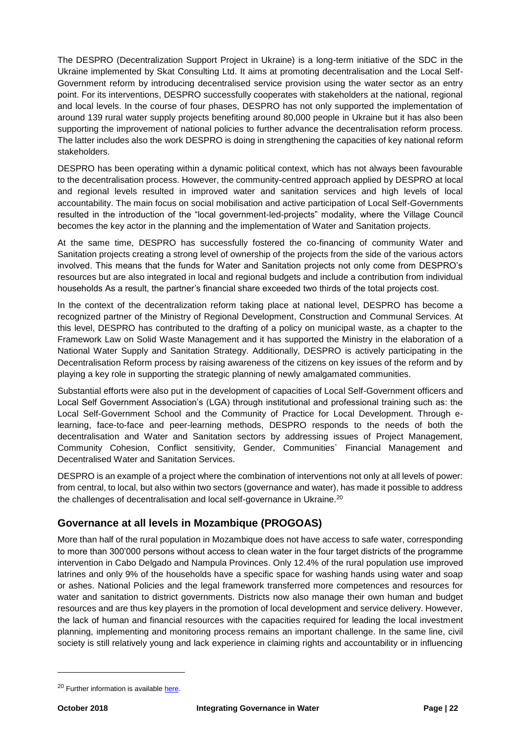The DESPRO (Decentralization Support Project in Ukraine) is a long-term initiative of the SDC in the Ukraine implemented by Skat Consulting Ltd. It aims at promoting decentralisation and the Local Self-Government reform by introducing decentralised service provision using the water sector as an entry point. For its interventions, DESPRO successfully cooperates with stakeholders at the national, regional and local levels. In the course of four phases, DESPRO has not only supported the implementation of around 139 rural water supply projects benefiting around 80,000 people in Ukraine but it has also been supporting the improvement of national policies to further advance the decentralisation reform process. The latter includes also the work DESPRO is doing in strengthening the capacities of key national reform stakeholders.

DESPRO has been operating within a dynamic political context, which has not always been favourable to the decentralisation process. However, the community-centred approach applied by DESPRO at local and regional levels resulted in improved water and sanitation services and high levels of local accountability. The main focus on social mobilisation and active participation of Local Self-Governments resulted in the introduction of the "local government-led-projects" modality, where the Village Council becomes the key actor in the planning and the implementation of Water and Sanitation projects.

At the same time, DESPRO has successfully fostered the co-financing of community Water and Sanitation projects creating a strong level of ownership of the projects from the side of the various actors involved. This means that the funds for Water and Sanitation projects not only come from DESPRO's resources but are also integrated in local and regional budgets and include a contribution from individual households As a result, the partner's financial share exceeded two thirds of the total projects cost.

In the context of the decentralization reform taking place at national level, DESPRO has become a recognized partner of the Ministry of Regional Development, Construction and Communal Services. At this level, DESPRO has contributed to the drafting of a policy on municipal waste, as a chapter to the Framework Law on Solid Waste Management and it has supported the Ministry in the elaboration of a National Water Supply and Sanitation Strategy. Additionally, DESPRO is actively participating in the Decentralisation Reform process by raising awareness of the citizens on key issues of the reform and by playing a key role in supporting the strategic planning of newly amalgamated communities.

Substantial efforts were also put in the development of capacities of Local Self-Government officers and Local Self Government Association's (LGA) through institutional and professional training such as: the Local Self-Government School and the Community of Practice for Local Development. Through elearning, face-to-face and peer-learning methods, DESPRO responds to the needs of both the decentralisation and Water and Sanitation sectors by addressing issues of Project Management, Community Cohesion, Conflict sensitivity, Gender, Communities` Financial Management and Decentralised Water and Sanitation Services.

DESPRO is an example of a project where the combination of interventions not only at all levels of power: from central, to local, but also within two sectors (governance and water), has made it possible to address the challenges of decentralisation and local self-governance in Ukraine.<sup>20</sup>

## **Governance at all levels in Mozambique (PROGOAS)**

More than half of the rural population in Mozambique does not have access to safe water, corresponding to more than 300'000 persons without access to clean water in the four target districts of the programme intervention in Cabo Delgado and Nampula Provinces. Only 12.4% of the rural population use improved latrines and only 9% of the households have a specific space for washing hands using water and soap or ashes. National Policies and the legal framework transferred more competences and resources for water and sanitation to district governments. Districts now also manage their own human and budget resources and are thus key players in the promotion of local development and service delivery. However, the lack of human and financial resources with the capacities required for leading the local investment planning, implementing and monitoring process remains an important challenge. In the same line, civil society is still relatively young and lack experience in claiming rights and accountability or in influencing

<sup>&</sup>lt;sup>20</sup> Further information is available here.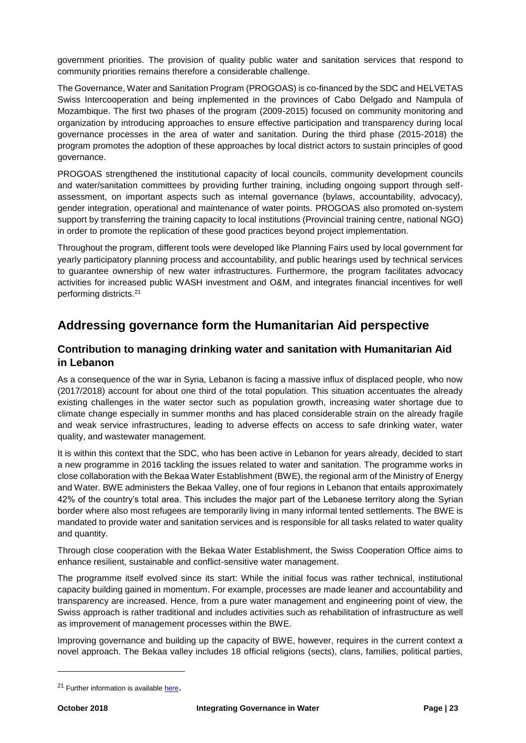government priorities. The provision of quality public water and sanitation services that respond to community priorities remains therefore a considerable challenge.

The Governance, Water and Sanitation Program (PROGOAS) is co-financed by the SDC and HELVETAS Swiss Intercooperation and being implemented in the provinces of Cabo Delgado and Nampula of Mozambique. The first two phases of the program (2009-2015) focused on community monitoring and organization by introducing approaches to ensure effective participation and transparency during local governance processes in the area of water and sanitation. During the third phase (2015-2018) the program promotes the adoption of these approaches by local district actors to sustain principles of good governance.

PROGOAS strengthened the institutional capacity of local councils, community development councils and water/sanitation committees by providing further training, including ongoing support through selfassessment, on important aspects such as internal governance (bylaws, accountability, advocacy), gender integration, operational and maintenance of water points. PROGOAS also promoted on-system support by transferring the training capacity to local institutions (Provincial training centre, national NGO) in order to promote the replication of these good practices beyond project implementation.

Throughout the program, different tools were developed like Planning Fairs used by local government for yearly participatory planning process and accountability, and public hearings used by technical services to guarantee ownership of new water infrastructures. Furthermore, the program facilitates advocacy activities for increased public WASH investment and O&M, and integrates financial incentives for well performing districts.<sup>21</sup>

# **Addressing governance form the Humanitarian Aid perspective**

## **Contribution to managing drinking water and sanitation with Humanitarian Aid in Lebanon**

As a consequence of the war in Syria, Lebanon is facing a massive influx of displaced people, who now (2017/2018) account for about one third of the total population. This situation accentuates the already existing challenges in the water sector such as population growth, increasing water shortage due to climate change especially in summer months and has placed considerable strain on the already fragile and weak service infrastructures, leading to adverse effects on access to safe drinking water, water quality, and wastewater management.

It is within this context that the SDC, who has been active in Lebanon for years already, decided to start a new programme in 2016 tackling the issues related to water and sanitation. The programme works in close collaboration with the Bekaa Water Establishment (BWE), the regional arm of the Ministry of Energy and Water. BWE administers the Bekaa Valley, one of four regions in Lebanon that entails approximately 42% of the country's total area. This includes the major part of the Lebanese territory along the Syrian border where also most refugees are temporarily living in many informal tented settlements. The BWE is mandated to provide water and sanitation services and is responsible for all tasks related to water quality and quantity.

Through close cooperation with the Bekaa Water Establishment, the Swiss Cooperation Office aims to enhance resilient, sustainable and conflict-sensitive water management.

The programme itself evolved since its start: While the initial focus was rather technical, institutional capacity building gained in momentum. For example, processes are made leaner and accountability and transparency are increased. Hence, from a pure water management and engineering point of view, the Swiss approach is rather traditional and includes activities such as rehabilitation of infrastructure as well as improvement of management processes within the BWE.

Improving governance and building up the capacity of BWE, however, requires in the current context a novel approach. The Bekaa valley includes 18 official religions (sects), clans, families, political parties,

<sup>&</sup>lt;sup>21</sup> Further information is availabl[e here](https://mozambique.helvetas.org/en/).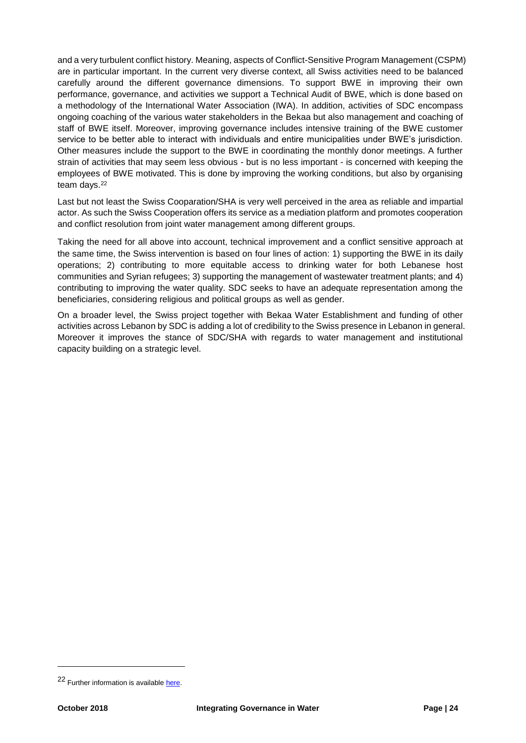and a very turbulent conflict history. Meaning, aspects of Conflict-Sensitive Program Management (CSPM) are in particular important. In the current very diverse context, all Swiss activities need to be balanced carefully around the different governance dimensions. To support BWE in improving their own performance, governance, and activities we support a Technical Audit of BWE, which is done based on a methodology of the International Water Association (IWA). In addition, activities of SDC encompass ongoing coaching of the various water stakeholders in the Bekaa but also management and coaching of staff of BWE itself. Moreover, improving governance includes intensive training of the BWE customer service to be better able to interact with individuals and entire municipalities under BWE's jurisdiction. Other measures include the support to the BWE in coordinating the monthly donor meetings. A further strain of activities that may seem less obvious - but is no less important - is concerned with keeping the employees of BWE motivated. This is done by improving the working conditions, but also by organising team days.<sup>22</sup>

Last but not least the Swiss Cooparation/SHA is very well perceived in the area as reliable and impartial actor. As such the Swiss Cooperation offers its service as a mediation platform and promotes cooperation and conflict resolution from joint water management among different groups.

Taking the need for all above into account, technical improvement and a conflict sensitive approach at the same time, the Swiss intervention is based on four lines of action: 1) supporting the BWE in its daily operations; 2) contributing to more equitable access to drinking water for both Lebanese host communities and Syrian refugees; 3) supporting the management of wastewater treatment plants; and 4) contributing to improving the water quality. SDC seeks to have an adequate representation among the beneficiaries, considering religious and political groups as well as gender.

On a broader level, the Swiss project together with Bekaa Water Establishment and funding of other activities across Lebanon by SDC is adding a lot of credibility to the Swiss presence in Lebanon in general. Moreover it improves the stance of SDC/SHA with regards to water management and institutional capacity building on a strategic level.

<sup>22</sup> Further information is available [here.](https://www.eda.admin.ch/content/dam/countries/countries-content/lebanon/en/160715_FS_Leb_WES_BWE_July.pdf)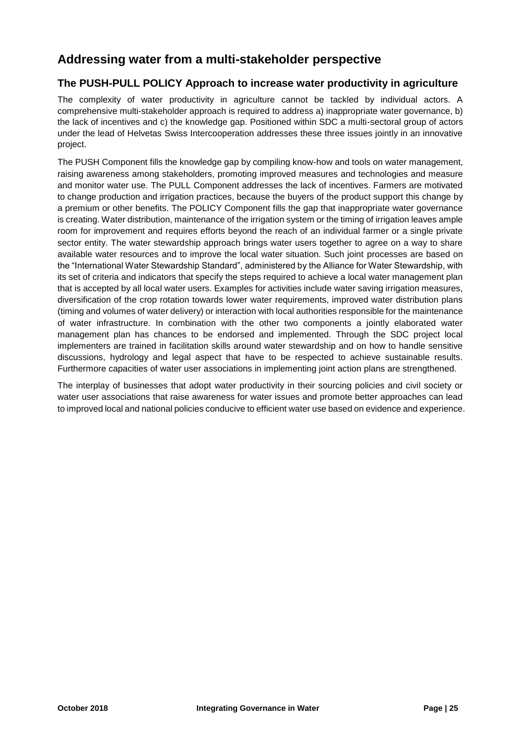# **Addressing water from a multi-stakeholder perspective**

# **The PUSH-PULL POLICY Approach to increase water productivity in agriculture**

The complexity of water productivity in agriculture cannot be tackled by individual actors. A comprehensive multi-stakeholder approach is required to address a) inappropriate water governance, b) the lack of incentives and c) the knowledge gap. Positioned within SDC a multi-sectoral group of actors under the lead of Helvetas Swiss Intercooperation addresses these three issues jointly in an innovative project.

The PUSH Component fills the knowledge gap by compiling know-how and tools on water management, raising awareness among stakeholders, promoting improved measures and technologies and measure and monitor water use. The PULL Component addresses the lack of incentives. Farmers are motivated to change production and irrigation practices, because the buyers of the product support this change by a premium or other benefits. The POLICY Component fills the gap that inappropriate water governance is creating. Water distribution, maintenance of the irrigation system or the timing of irrigation leaves ample room for improvement and requires efforts beyond the reach of an individual farmer or a single private sector entity. The water stewardship approach brings water users together to agree on a way to share available water resources and to improve the local water situation. Such joint processes are based on the "International Water Stewardship Standard", administered by the Alliance for Water Stewardship, with its set of criteria and indicators that specify the steps required to achieve a local water management plan that is accepted by all local water users. Examples for activities include water saving irrigation measures, diversification of the crop rotation towards lower water requirements, improved water distribution plans (timing and volumes of water delivery) or interaction with local authorities responsible for the maintenance of water infrastructure. In combination with the other two components a jointly elaborated water management plan has chances to be endorsed and implemented. Through the SDC project local implementers are trained in facilitation skills around water stewardship and on how to handle sensitive discussions, hydrology and legal aspect that have to be respected to achieve sustainable results. Furthermore capacities of water user associations in implementing joint action plans are strengthened.

The interplay of businesses that adopt water productivity in their sourcing policies and civil society or water user associations that raise awareness for water issues and promote better approaches can lead to improved local and national policies conducive to efficient water use based on evidence and experience.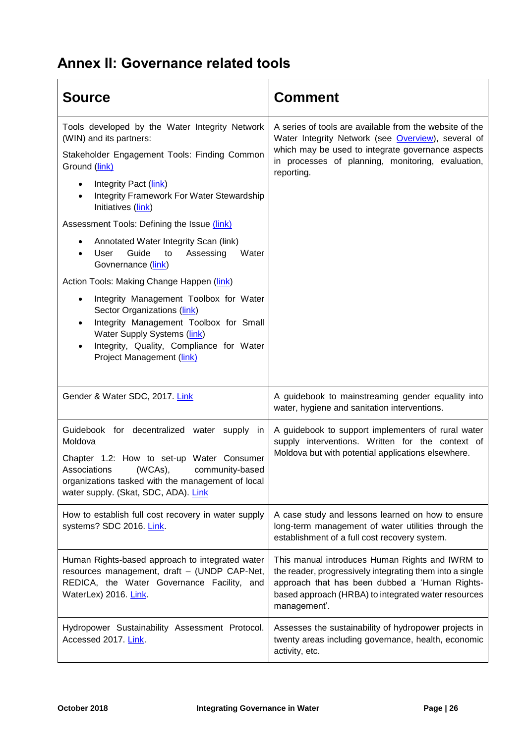# <span id="page-25-0"></span>**Annex II: Governance related tools**

| <b>Source</b>                                                                                                                                                                                                                                     | <b>Comment</b>                                                                                                                                                                                                                        |
|---------------------------------------------------------------------------------------------------------------------------------------------------------------------------------------------------------------------------------------------------|---------------------------------------------------------------------------------------------------------------------------------------------------------------------------------------------------------------------------------------|
| Tools developed by the Water Integrity Network<br>(WIN) and its partners:                                                                                                                                                                         | A series of tools are available from the website of the<br>Water Integrity Network (see Overview), several of<br>which may be used to integrate governance aspects<br>in processes of planning, monitoring, evaluation,<br>reporting. |
| Stakeholder Engagement Tools: Finding Common<br>Ground (link)                                                                                                                                                                                     |                                                                                                                                                                                                                                       |
| Integrity Pact (link)<br><b>Integrity Framework For Water Stewardship</b><br>Initiatives (link)                                                                                                                                                   |                                                                                                                                                                                                                                       |
| Assessment Tools: Defining the Issue (link)                                                                                                                                                                                                       |                                                                                                                                                                                                                                       |
| Annotated Water Integrity Scan (link)<br>$\bullet$<br>Guide<br>User<br>Assessing<br>to<br>Water<br>Govnernance (link)                                                                                                                             |                                                                                                                                                                                                                                       |
| Action Tools: Making Change Happen (link)                                                                                                                                                                                                         |                                                                                                                                                                                                                                       |
| Integrity Management Toolbox for Water<br>$\bullet$<br>Sector Organizations (link)<br>Integrity Management Toolbox for Small<br>Water Supply Systems (link)<br>Integrity, Quality, Compliance for Water<br>٠<br>Project Management (link)         |                                                                                                                                                                                                                                       |
| Gender & Water SDC, 2017. Link                                                                                                                                                                                                                    | A guidebook to mainstreaming gender equality into<br>water, hygiene and sanitation interventions.                                                                                                                                     |
| Guidebook for decentralized water<br>supply in<br>Moldova<br>Chapter 1.2: How to set-up Water Consumer<br>(WCAs),<br>Associations<br>community-based<br>organizations tasked with the management of local<br>water supply. (Skat, SDC, ADA). Link | A guidebook to support implementers of rural water<br>supply interventions. Written for the context of<br>Moldova but with potential applications elsewhere.                                                                          |
| How to establish full cost recovery in water supply<br>systems? SDC 2016. Link.                                                                                                                                                                   | A case study and lessons learned on how to ensure<br>long-term management of water utilities through the<br>establishment of a full cost recovery system.                                                                             |
| Human Rights-based approach to integrated water<br>resources management, draft - (UNDP CAP-Net,<br>REDICA, the Water Governance Facility, and<br>WaterLex) 2016. Link.                                                                            | This manual introduces Human Rights and IWRM to<br>the reader, progressively integrating them into a single<br>approach that has been dubbed a 'Human Rights-<br>based approach (HRBA) to integrated water resources<br>management'.  |
| Hydropower Sustainability Assessment Protocol.<br>Accessed 2017. Link.                                                                                                                                                                            | Assesses the sustainability of hydropower projects in<br>twenty areas including governance, health, economic<br>activity, etc.                                                                                                        |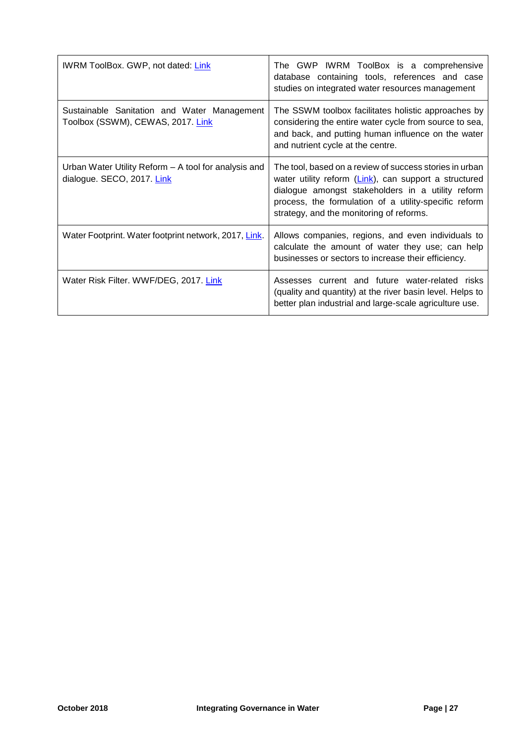| <b>IWRM ToolBox. GWP, not dated: Link</b>                                          | The GWP IWRM ToolBox is a comprehensive<br>database containing tools, references and case<br>studies on integrated water resources management                                                                                                                              |
|------------------------------------------------------------------------------------|----------------------------------------------------------------------------------------------------------------------------------------------------------------------------------------------------------------------------------------------------------------------------|
| Sustainable Sanitation and Water Management<br>Toolbox (SSWM), CEWAS, 2017. Link   | The SSWM toolbox facilitates holistic approaches by<br>considering the entire water cycle from source to sea,<br>and back, and putting human influence on the water<br>and nutrient cycle at the centre.                                                                   |
| Urban Water Utility Reform - A tool for analysis and<br>dialogue. SECO, 2017. Link | The tool, based on a review of success stories in urban<br>water utility reform (Link), can support a structured<br>dialogue amongst stakeholders in a utility reform<br>process, the formulation of a utility-specific reform<br>strategy, and the monitoring of reforms. |
| Water Footprint. Water footprint network, 2017, Link.                              | Allows companies, regions, and even individuals to<br>calculate the amount of water they use; can help<br>businesses or sectors to increase their efficiency.                                                                                                              |
| Water Risk Filter. WWF/DEG, 2017. Link                                             | Assesses current and future water-related risks<br>(quality and quantity) at the river basin level. Helps to<br>better plan industrial and large-scale agriculture use.                                                                                                    |